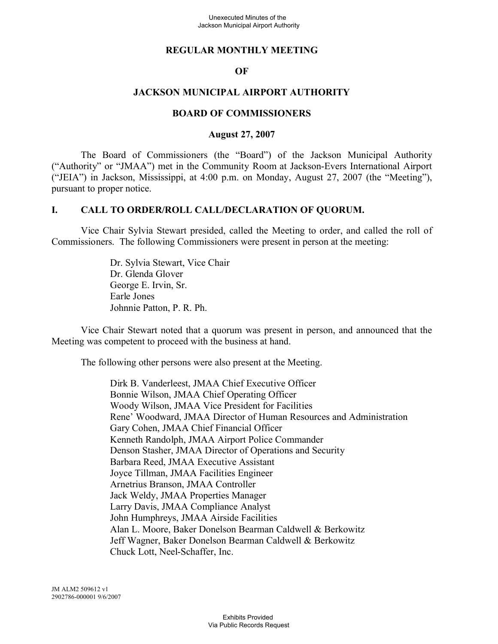## **REGULAR MONTHLY MEETING**

### **OF**

### **JACKSON MUNICIPAL AIRPORT AUTHORITY**

#### **BOARD OF COMMISSIONERS**

#### **August 27, 2007**

The Board of Commissioners (the "Board") of the Jackson Municipal Authority ("Authority" or "JMAA") met in the Community Room at Jackson-Evers International Airport ("JEIA") in Jackson, Mississippi, at 4:00 p.m. on Monday, August 27, 2007 (the "Meeting"), pursuant to proper notice.

#### **I. CALL TO ORDER/ROLL CALL/DECLARATION OF QUORUM.**

Vice Chair Sylvia Stewart presided, called the Meeting to order, and called the roll of Commissioners. The following Commissioners were present in person at the meeting:

> Dr. Sylvia Stewart, Vice Chair Dr. Glenda Glover George E. Irvin, Sr. Earle Jones Johnnie Patton, P. R. Ph.

Vice Chair Stewart noted that a quorum was present in person, and announced that the Meeting was competent to proceed with the business at hand.

The following other persons were also present at the Meeting.

Dirk B. Vanderleest, JMAA Chief Executive Officer Bonnie Wilson, JMAA Chief Operating Officer Woody Wilson, JMAA Vice President for Facilities Rene' Woodward, JMAA Director of Human Resources and Administration Gary Cohen, JMAA Chief Financial Officer Kenneth Randolph, JMAA Airport Police Commander Denson Stasher, JMAA Director of Operations and Security Barbara Reed, JMAA Executive Assistant Joyce Tillman, JMAA Facilities Engineer Arnetrius Branson, JMAA Controller Jack Weldy, JMAA Properties Manager Larry Davis, JMAA Compliance Analyst John Humphreys, JMAA Airside Facilities Alan L. Moore, Baker Donelson Bearman Caldwell & Berkowitz Jeff Wagner, Baker Donelson Bearman Caldwell & Berkowitz Chuck Lott, Neel-Schaffer, Inc.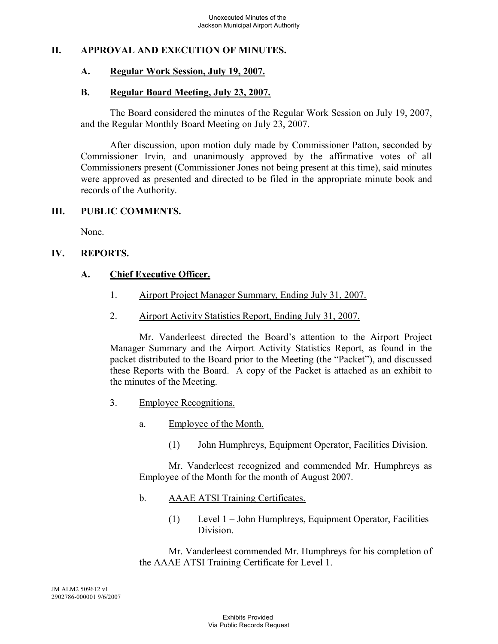## **II. APPROVAL AND EXECUTION OF MINUTES.**

#### **A. Regular Work Session, July 19, 2007.**

#### **B. Regular Board Meeting, July 23, 2007.**

The Board considered the minutes of the Regular Work Session on July 19, 2007, and the Regular Monthly Board Meeting on July 23, 2007.

After discussion, upon motion duly made by Commissioner Patton, seconded by Commissioner Irvin, and unanimously approved by the affirmative votes of all Commissioners present (Commissioner Jones not being present at this time), said minutes were approved as presented and directed to be filed in the appropriate minute book and records of the Authority.

#### **III. PUBLIC COMMENTS.**

None.

## **IV. REPORTS.**

## **A. Chief Executive Officer.**

- 1. Airport Project Manager Summary, Ending July 31, 2007.
- 2. Airport Activity Statistics Report, Ending July 31, 2007.

Mr. Vanderleest directed the Board's attention to the Airport Project Manager Summary and the Airport Activity Statistics Report, as found in the packet distributed to the Board prior to the Meeting (the "Packet"), and discussed these Reports with the Board. A copy of the Packet is attached as an exhibit to the minutes of the Meeting.

- 3. Employee Recognitions.
	- a. Employee of the Month.
		- (1) John Humphreys, Equipment Operator, Facilities Division.

Mr. Vanderleest recognized and commended Mr. Humphreys as Employee of the Month for the month of August 2007.

- b. AAAE ATSI Training Certificates.
	- (1) Level 1 John Humphreys, Equipment Operator, Facilities Division.

Mr. Vanderleest commended Mr. Humphreys for his completion of the AAAE ATSI Training Certificate for Level 1.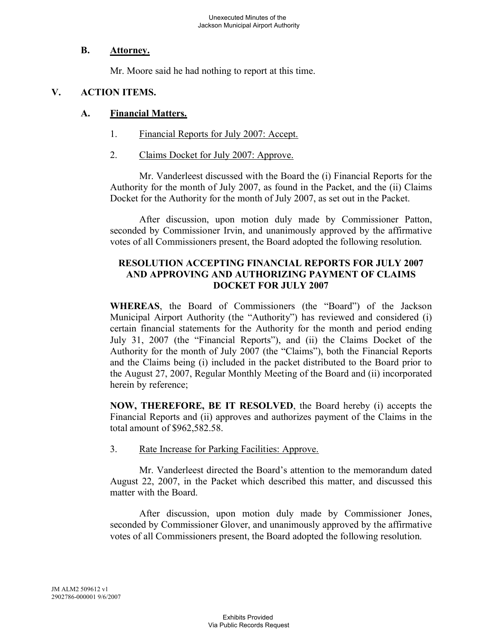#### **B. Attorney.**

Mr. Moore said he had nothing to report at this time.

# **V. ACTION ITEMS.**

## **A. Financial Matters.**

- 1. Financial Reports for July 2007: Accept.
- 2. Claims Docket for July 2007: Approve.

Mr. Vanderleest discussed with the Board the (i) Financial Reports for the Authority for the month of July 2007, as found in the Packet, and the (ii) Claims Docket for the Authority for the month of July 2007, as set out in the Packet.

After discussion, upon motion duly made by Commissioner Patton, seconded by Commissioner Irvin, and unanimously approved by the affirmative votes of all Commissioners present, the Board adopted the following resolution.

## **RESOLUTION ACCEPTING FINANCIAL REPORTS FOR JULY 2007 AND APPROVING AND AUTHORIZING PAYMENT OF CLAIMS DOCKET FOR JULY 2007**

**WHEREAS**, the Board of Commissioners (the "Board") of the Jackson Municipal Airport Authority (the "Authority") has reviewed and considered (i) certain financial statements for the Authority for the month and period ending July 31, 2007 (the "Financial Reports"), and (ii) the Claims Docket of the Authority for the month of July 2007 (the "Claims"), both the Financial Reports and the Claims being (i) included in the packet distributed to the Board prior to the August 27, 2007, Regular Monthly Meeting of the Board and (ii) incorporated herein by reference;

**NOW, THEREFORE, BE IT RESOLVED**, the Board hereby (i) accepts the Financial Reports and (ii) approves and authorizes payment of the Claims in the total amount of \$962,582.58.

3. Rate Increase for Parking Facilities: Approve.

Mr. Vanderleest directed the Board's attention to the memorandum dated August 22, 2007, in the Packet which described this matter, and discussed this matter with the Board.

After discussion, upon motion duly made by Commissioner Jones, seconded by Commissioner Glover, and unanimously approved by the affirmative votes of all Commissioners present, the Board adopted the following resolution.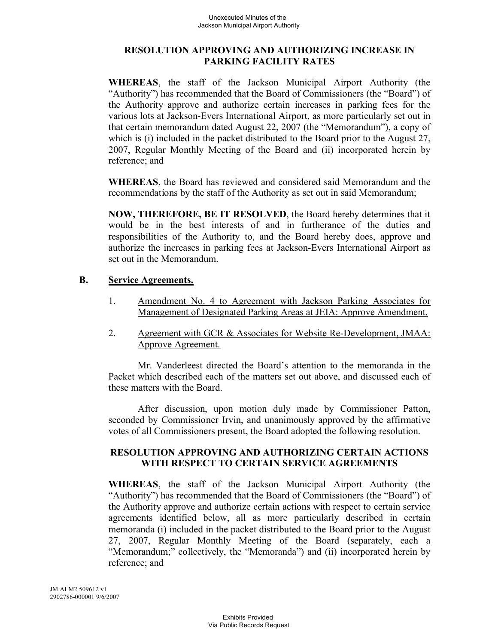## **RESOLUTION APPROVING AND AUTHORIZING INCREASE IN PARKING FACILITY RATES**

**WHEREAS**, the staff of the Jackson Municipal Airport Authority (the "Authority") has recommended that the Board of Commissioners (the "Board") of the Authority approve and authorize certain increases in parking fees for the various lots at Jackson-Evers International Airport, as more particularly set out in that certain memorandum dated August 22, 2007 (the "Memorandum"), a copy of which is (i) included in the packet distributed to the Board prior to the August 27, 2007, Regular Monthly Meeting of the Board and (ii) incorporated herein by reference; and

**WHEREAS**, the Board has reviewed and considered said Memorandum and the recommendations by the staff of the Authority as set out in said Memorandum;

**NOW, THEREFORE, BE IT RESOLVED**, the Board hereby determines that it would be in the best interests of and in furtherance of the duties and responsibilities of the Authority to, and the Board hereby does, approve and authorize the increases in parking fees at Jackson-Evers International Airport as set out in the Memorandum.

### **B. Service Agreements.**

- 1. Amendment No. 4 to Agreement with Jackson Parking Associates for Management of Designated Parking Areas at JEIA: Approve Amendment.
- 2. Agreement with GCR & Associates for Website Re-Development, JMAA: Approve Agreement.

Mr. Vanderleest directed the Board's attention to the memoranda in the Packet which described each of the matters set out above, and discussed each of these matters with the Board.

After discussion, upon motion duly made by Commissioner Patton, seconded by Commissioner Irvin, and unanimously approved by the affirmative votes of all Commissioners present, the Board adopted the following resolution.

### **RESOLUTION APPROVING AND AUTHORIZING CERTAIN ACTIONS WITH RESPECT TO CERTAIN SERVICE AGREEMENTS**

**WHEREAS**, the staff of the Jackson Municipal Airport Authority (the "Authority") has recommended that the Board of Commissioners (the "Board") of the Authority approve and authorize certain actions with respect to certain service agreements identified below, all as more particularly described in certain memoranda (i) included in the packet distributed to the Board prior to the August 27, 2007, Regular Monthly Meeting of the Board (separately, each a "Memorandum;" collectively, the "Memoranda") and (ii) incorporated herein by reference; and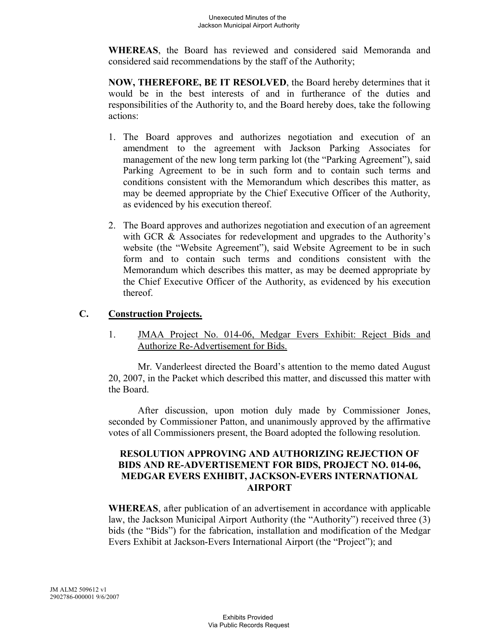**WHEREAS**, the Board has reviewed and considered said Memoranda and considered said recommendations by the staff of the Authority;

**NOW, THEREFORE, BE IT RESOLVED**, the Board hereby determines that it would be in the best interests of and in furtherance of the duties and responsibilities of the Authority to, and the Board hereby does, take the following actions:

- 1. The Board approves and authorizes negotiation and execution of an amendment to the agreement with Jackson Parking Associates for management of the new long term parking lot (the "Parking Agreement"), said Parking Agreement to be in such form and to contain such terms and conditions consistent with the Memorandum which describes this matter, as may be deemed appropriate by the Chief Executive Officer of the Authority, as evidenced by his execution thereof.
- 2. The Board approves and authorizes negotiation and execution of an agreement with GCR & Associates for redevelopment and upgrades to the Authority's website (the "Website Agreement"), said Website Agreement to be in such form and to contain such terms and conditions consistent with the Memorandum which describes this matter, as may be deemed appropriate by the Chief Executive Officer of the Authority, as evidenced by his execution thereof.

# **C. Construction Projects.**

1. JMAA Project No. 014-06, Medgar Evers Exhibit: Reject Bids and Authorize Re-Advertisement for Bids.

Mr. Vanderleest directed the Board's attention to the memo dated August 20, 2007, in the Packet which described this matter, and discussed this matter with the Board.

After discussion, upon motion duly made by Commissioner Jones, seconded by Commissioner Patton, and unanimously approved by the affirmative votes of all Commissioners present, the Board adopted the following resolution.

## **RESOLUTION APPROVING AND AUTHORIZING REJECTION OF BIDS AND RE-ADVERTISEMENT FOR BIDS, PROJECT NO. 014-06, MEDGAR EVERS EXHIBIT, JACKSON-EVERS INTERNATIONAL AIRPORT**

**WHEREAS**, after publication of an advertisement in accordance with applicable law, the Jackson Municipal Airport Authority (the "Authority") received three (3) bids (the "Bids") for the fabrication, installation and modification of the Medgar Evers Exhibit at Jackson-Evers International Airport (the "Project"); and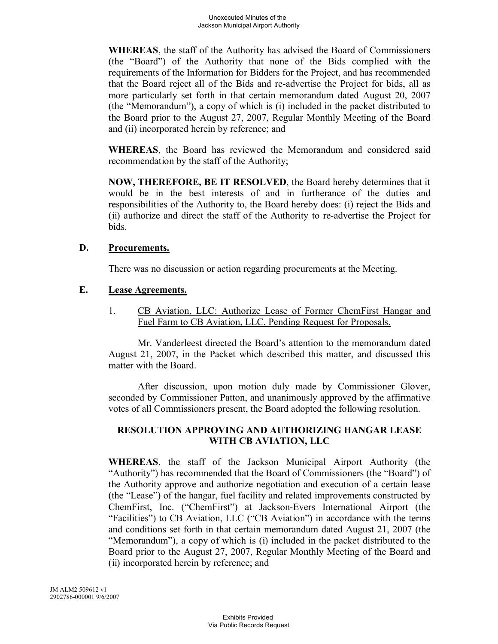**WHEREAS**, the staff of the Authority has advised the Board of Commissioners (the "Board") of the Authority that none of the Bids complied with the requirements of the Information for Bidders for the Project, and has recommended that the Board reject all of the Bids and re-advertise the Project for bids, all as more particularly set forth in that certain memorandum dated August 20, 2007 (the "Memorandum"), a copy of which is (i) included in the packet distributed to the Board prior to the August 27, 2007, Regular Monthly Meeting of the Board and (ii) incorporated herein by reference; and

**WHEREAS**, the Board has reviewed the Memorandum and considered said recommendation by the staff of the Authority;

**NOW, THEREFORE, BE IT RESOLVED**, the Board hereby determines that it would be in the best interests of and in furtherance of the duties and responsibilities of the Authority to, the Board hereby does: (i) reject the Bids and (ii) authorize and direct the staff of the Authority to re-advertise the Project for bids.

### **D. Procurements.**

There was no discussion or action regarding procurements at the Meeting.

### **E. Lease Agreements.**

1. CB Aviation, LLC: Authorize Lease of Former ChemFirst Hangar and Fuel Farm to CB Aviation, LLC, Pending Request for Proposals.

Mr. Vanderleest directed the Board's attention to the memorandum dated August 21, 2007, in the Packet which described this matter, and discussed this matter with the Board.

After discussion, upon motion duly made by Commissioner Glover, seconded by Commissioner Patton, and unanimously approved by the affirmative votes of all Commissioners present, the Board adopted the following resolution.

## **RESOLUTION APPROVING AND AUTHORIZING HANGAR LEASE WITH CB AVIATION, LLC**

**WHEREAS**, the staff of the Jackson Municipal Airport Authority (the "Authority") has recommended that the Board of Commissioners (the "Board") of the Authority approve and authorize negotiation and execution of a certain lease (the "Lease") of the hangar, fuel facility and related improvements constructed by ChemFirst, Inc. ("ChemFirst") at Jackson-Evers International Airport (the "Facilities") to CB Aviation, LLC ("CB Aviation") in accordance with the terms and conditions set forth in that certain memorandum dated August 21, 2007 (the "Memorandum"), a copy of which is (i) included in the packet distributed to the Board prior to the August 27, 2007, Regular Monthly Meeting of the Board and (ii) incorporated herein by reference; and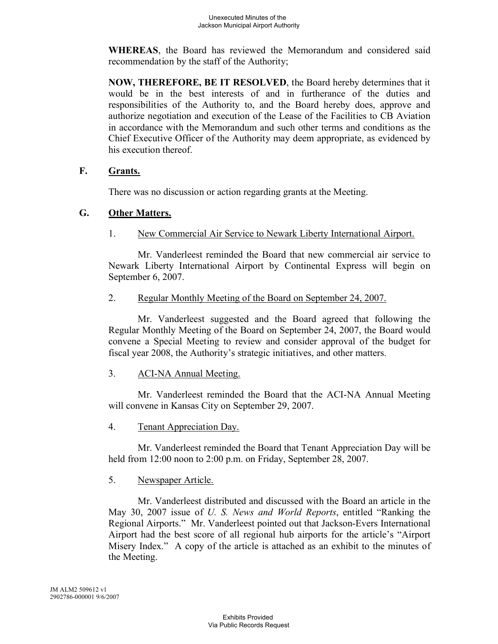**WHEREAS**, the Board has reviewed the Memorandum and considered said recommendation by the staff of the Authority;

**NOW, THEREFORE, BE IT RESOLVED**, the Board hereby determines that it would be in the best interests of and in furtherance of the duties and responsibilities of the Authority to, and the Board hereby does, approve and authorize negotiation and execution of the Lease of the Facilities to CB Aviation in accordance with the Memorandum and such other terms and conditions as the Chief Executive Officer of the Authority may deem appropriate, as evidenced by his execution thereof.

### **F. Grants.**

There was no discussion or action regarding grants at the Meeting.

## **G. Other Matters.**

1. New Commercial Air Service to Newark Liberty International Airport.

Mr. Vanderleest reminded the Board that new commercial air service to Newark Liberty International Airport by Continental Express will begin on September 6, 2007.

2. Regular Monthly Meeting of the Board on September 24, 2007.

Mr. Vanderleest suggested and the Board agreed that following the Regular Monthly Meeting of the Board on September 24, 2007, the Board would convene a Special Meeting to review and consider approval of the budget for fiscal year 2008, the Authority's strategic initiatives, and other matters.

## 3. ACI-NA Annual Meeting.

Mr. Vanderleest reminded the Board that the ACI-NA Annual Meeting will convene in Kansas City on September 29, 2007.

4. Tenant Appreciation Day.

Mr. Vanderleest reminded the Board that Tenant Appreciation Day will be held from 12:00 noon to 2:00 p.m. on Friday, September 28, 2007.

## 5. Newspaper Article.

Mr. Vanderleest distributed and discussed with the Board an article in the May 30, 2007 issue of *U. S. News and World Reports*, entitled "Ranking the Regional Airports." Mr. Vanderleest pointed out that Jackson-Evers International Airport had the best score of all regional hub airports for the article's "Airport Misery Index." A copy of the article is attached as an exhibit to the minutes of the Meeting.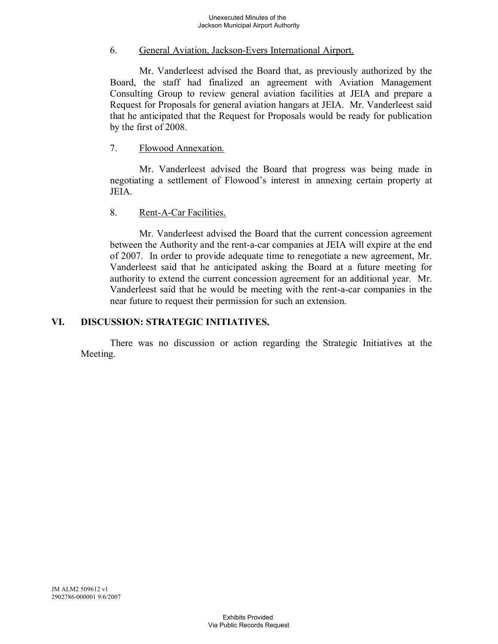### 6. General Aviation, Jackson-Evers International Airport.

Mr. Vanderleest advised the Board that, as previously authorized by the Board, the staff had finalized an agreement with Aviation Management Consulting Group to review general aviation facilities at JEIA and prepare a Request for Proposals for general aviation hangars at JEIA. Mr. Vanderleest said that he anticipated that the Request for Proposals would be ready for publication by the first of 2008.

### 7. Flowood Annexation.

Mr. Vanderleest advised the Board that progress was being made in negotiating a settlement of Flowood's interest in annexing certain property at **JEIA** 

### 8. Rent-A-Car Facilities.

Mr. Vanderleest advised the Board that the current concession agreement between the Authority and the rent-a-car companies at JEIA will expire at the end of 2007. In order to provide adequate time to renegotiate a new agreement, Mr. Vanderleest said that he anticipated asking the Board at a future meeting for authority to extend the current concession agreement for an additional year. Mr. Vanderleest said that he would be meeting with the rent-a-car companies in the near future to request their permission for such an extension.

## **VI. DISCUSSION: STRATEGIC INITIATIVES.**

There was no discussion or action regarding the Strategic Initiatives at the Meeting.